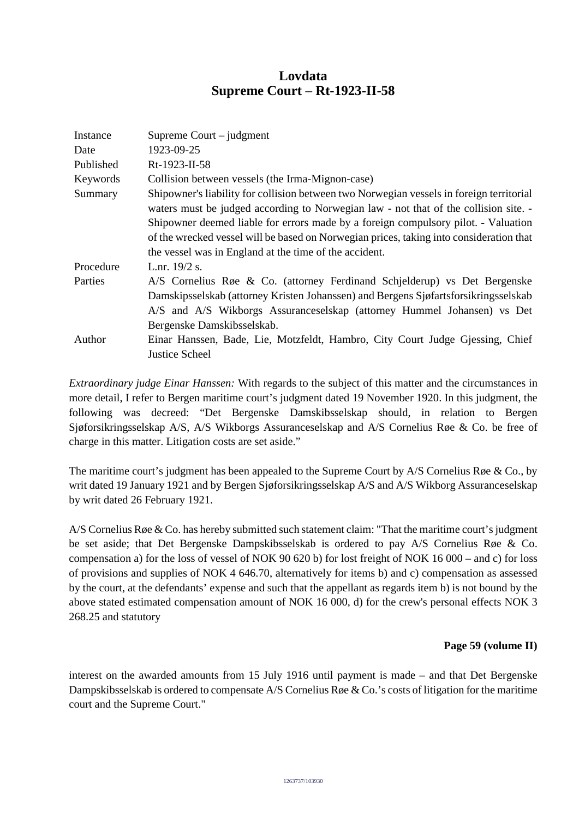# **Lovdata Supreme Court – Rt-1923-II-58**

| Instance  | Supreme Court $-$ judgment                                                               |
|-----------|------------------------------------------------------------------------------------------|
| Date      | 1923-09-25                                                                               |
| Published | Rt-1923-II-58                                                                            |
| Keywords  | Collision between vessels (the Irma-Mignon-case)                                         |
| Summary   | Shipowner's liability for collision between two Norwegian vessels in foreign territorial |
|           | waters must be judged according to Norwegian law - not that of the collision site. -     |
|           | Shipowner deemed liable for errors made by a foreign compulsory pilot. - Valuation       |
|           | of the wrecked vessel will be based on Norwegian prices, taking into consideration that  |
|           | the vessel was in England at the time of the accident.                                   |
| Procedure | L.nr. 19/2 s.                                                                            |
| Parties   | A/S Cornelius Røe & Co. (attorney Ferdinand Schjelderup) vs Det Bergenske                |
|           | Damskipsselskab (attorney Kristen Johanssen) and Bergens Sjøfartsforsikringsselskab      |
|           | A/S and A/S Wikborgs Assuranceselskap (attorney Hummel Johansen) vs Det                  |
|           | Bergenske Damskibsselskab.                                                               |
| Author    | Einar Hanssen, Bade, Lie, Motzfeldt, Hambro, City Court Judge Gjessing, Chief            |
|           | <b>Justice Scheel</b>                                                                    |

*Extraordinary judge Einar Hanssen:* With regards to the subject of this matter and the circumstances in more detail, I refer to Bergen maritime court's judgment dated 19 November 1920. In this judgment, the following was decreed: "Det Bergenske Damskibsselskap should, in relation to Bergen Sjøforsikringsselskap A/S, A/S Wikborgs Assuranceselskap and A/S Cornelius Røe & Co. be free of charge in this matter. Litigation costs are set aside."

The maritime court's judgment has been appealed to the Supreme Court by A/S Cornelius Røe & Co., by writ dated 19 January 1921 and by Bergen Sjøforsikringsselskap A/S and A/S Wikborg Assuranceselskap by writ dated 26 February 1921.

A/S Cornelius Røe & Co. has hereby submitted such statement claim: "That the maritime court's judgment be set aside; that Det Bergenske Dampskibsselskab is ordered to pay A/S Cornelius Røe & Co. compensation a) for the loss of vessel of NOK 90 620 b) for lost freight of NOK 16 000 – and c) for loss of provisions and supplies of NOK 4 646.70, alternatively for items b) and c) compensation as assessed by the court, at the defendants' expense and such that the appellant as regards item b) is not bound by the above stated estimated compensation amount of NOK 16 000, d) for the crew's personal effects NOK 3 268.25 and statutory

# **Page 59 (volume II)**

interest on the awarded amounts from 15 July 1916 until payment is made – and that Det Bergenske Dampskibsselskab is ordered to compensate A/S Cornelius Røe & Co.'s costs of litigation for the maritime court and the Supreme Court."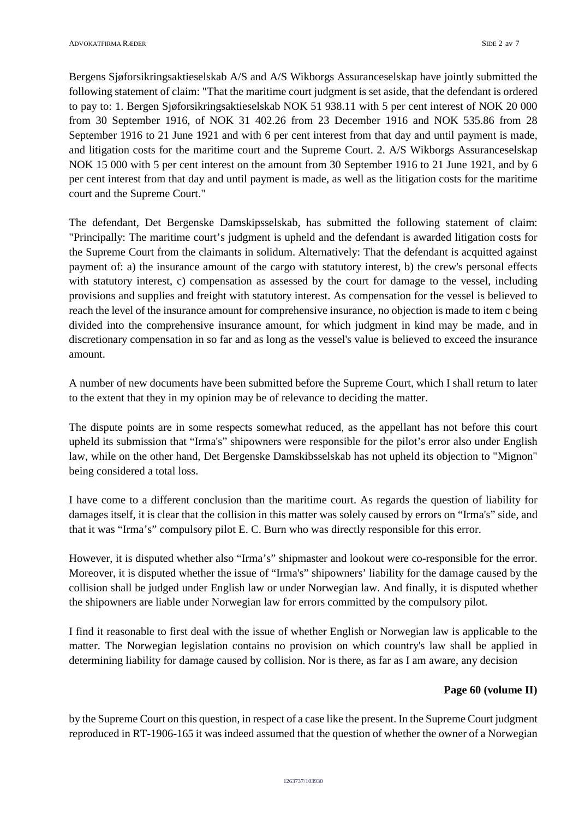Bergens Sjøforsikringsaktieselskab A/S and A/S Wikborgs Assuranceselskap have jointly submitted the following statement of claim: "That the maritime court judgment is set aside, that the defendant is ordered to pay to: 1. Bergen Sjøforsikringsaktieselskab NOK 51 938.11 with 5 per cent interest of NOK 20 000 from 30 September 1916, of NOK 31 402.26 from 23 December 1916 and NOK 535.86 from 28 September 1916 to 21 June 1921 and with 6 per cent interest from that day and until payment is made, and litigation costs for the maritime court and the Supreme Court. 2. A/S Wikborgs Assuranceselskap NOK 15 000 with 5 per cent interest on the amount from 30 September 1916 to 21 June 1921, and by 6 per cent interest from that day and until payment is made, as well as the litigation costs for the maritime court and the Supreme Court."

The defendant, Det Bergenske Damskipsselskab, has submitted the following statement of claim: "Principally: The maritime court's judgment is upheld and the defendant is awarded litigation costs for the Supreme Court from the claimants in solidum. Alternatively: That the defendant is acquitted against payment of: a) the insurance amount of the cargo with statutory interest, b) the crew's personal effects with statutory interest, c) compensation as assessed by the court for damage to the vessel, including provisions and supplies and freight with statutory interest. As compensation for the vessel is believed to reach the level of the insurance amount for comprehensive insurance, no objection is made to item c being divided into the comprehensive insurance amount, for which judgment in kind may be made, and in discretionary compensation in so far and as long as the vessel's value is believed to exceed the insurance amount.

A number of new documents have been submitted before the Supreme Court, which I shall return to later to the extent that they in my opinion may be of relevance to deciding the matter.

The dispute points are in some respects somewhat reduced, as the appellant has not before this court upheld its submission that "Irma's" shipowners were responsible for the pilot's error also under English law, while on the other hand, Det Bergenske Damskibsselskab has not upheld its objection to "Mignon" being considered a total loss.

I have come to a different conclusion than the maritime court. As regards the question of liability for damages itself, it is clear that the collision in this matter was solely caused by errors on "Irma's" side, and that it was "Irma's" compulsory pilot E. C. Burn who was directly responsible for this error.

However, it is disputed whether also "Irma's" shipmaster and lookout were co-responsible for the error. Moreover, it is disputed whether the issue of "Irma's" shipowners' liability for the damage caused by the collision shall be judged under English law or under Norwegian law. And finally, it is disputed whether the shipowners are liable under Norwegian law for errors committed by the compulsory pilot.

I find it reasonable to first deal with the issue of whether English or Norwegian law is applicable to the matter. The Norwegian legislation contains no provision on which country's law shall be applied in determining liability for damage caused by collision. Nor is there, as far as I am aware, any decision

# **Page 60 (volume II)**

by the Supreme Court on this question, in respect of a case like the present. In the Supreme Court judgment reproduced in RT-1906-165 it was indeed assumed that the question of whether the owner of a Norwegian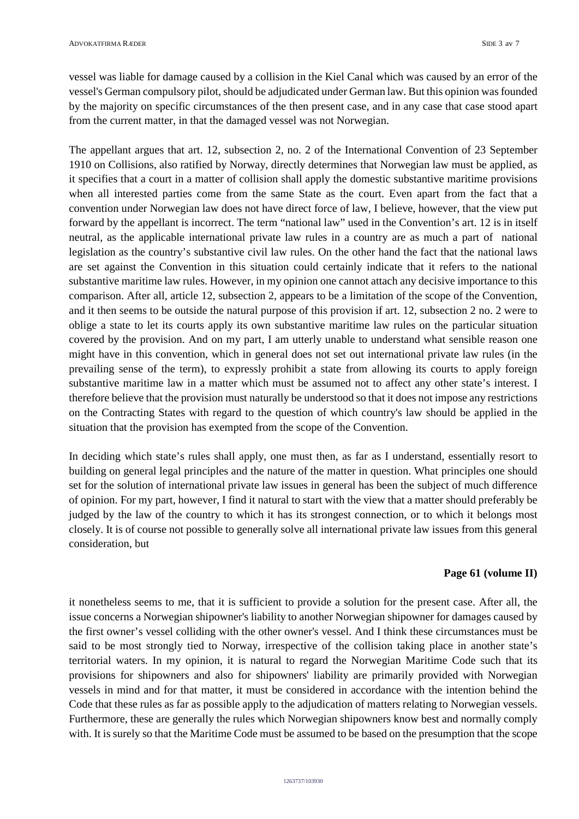vessel was liable for damage caused by a collision in the Kiel Canal which was caused by an error of the vessel's German compulsory pilot, should be adjudicated under German law. But this opinion was founded by the majority on specific circumstances of the then present case, and in any case that case stood apart from the current matter, in that the damaged vessel was not Norwegian.

The appellant argues that art. 12, subsection 2, no. 2 of the International Convention of 23 September 1910 on Collisions, also ratified by Norway, directly determines that Norwegian law must be applied, as it specifies that a court in a matter of collision shall apply the domestic substantive maritime provisions when all interested parties come from the same State as the court. Even apart from the fact that a convention under Norwegian law does not have direct force of law, I believe, however, that the view put forward by the appellant is incorrect. The term "national law" used in the Convention's art. 12 is in itself neutral, as the applicable international private law rules in a country are as much a part of national legislation as the country's substantive civil law rules. On the other hand the fact that the national laws are set against the Convention in this situation could certainly indicate that it refers to the national substantive maritime law rules. However, in my opinion one cannot attach any decisive importance to this comparison. After all, article 12, subsection 2, appears to be a limitation of the scope of the Convention, and it then seems to be outside the natural purpose of this provision if art. 12, subsection 2 no. 2 were to oblige a state to let its courts apply its own substantive maritime law rules on the particular situation covered by the provision. And on my part, I am utterly unable to understand what sensible reason one might have in this convention, which in general does not set out international private law rules (in the prevailing sense of the term), to expressly prohibit a state from allowing its courts to apply foreign substantive maritime law in a matter which must be assumed not to affect any other state's interest. I therefore believe that the provision must naturally be understood so that it does not impose any restrictions on the Contracting States with regard to the question of which country's law should be applied in the situation that the provision has exempted from the scope of the Convention.

In deciding which state's rules shall apply, one must then, as far as I understand, essentially resort to building on general legal principles and the nature of the matter in question. What principles one should set for the solution of international private law issues in general has been the subject of much difference of opinion. For my part, however, I find it natural to start with the view that a matter should preferably be judged by the law of the country to which it has its strongest connection, or to which it belongs most closely. It is of course not possible to generally solve all international private law issues from this general consideration, but

### **Page 61 (volume II)**

it nonetheless seems to me, that it is sufficient to provide a solution for the present case. After all, the issue concerns a Norwegian shipowner's liability to another Norwegian shipowner for damages caused by the first owner's vessel colliding with the other owner's vessel. And I think these circumstances must be said to be most strongly tied to Norway, irrespective of the collision taking place in another state's territorial waters. In my opinion, it is natural to regard the Norwegian Maritime Code such that its provisions for shipowners and also for shipowners' liability are primarily provided with Norwegian vessels in mind and for that matter, it must be considered in accordance with the intention behind the Code that these rules as far as possible apply to the adjudication of matters relating to Norwegian vessels. Furthermore, these are generally the rules which Norwegian shipowners know best and normally comply with. It is surely so that the Maritime Code must be assumed to be based on the presumption that the scope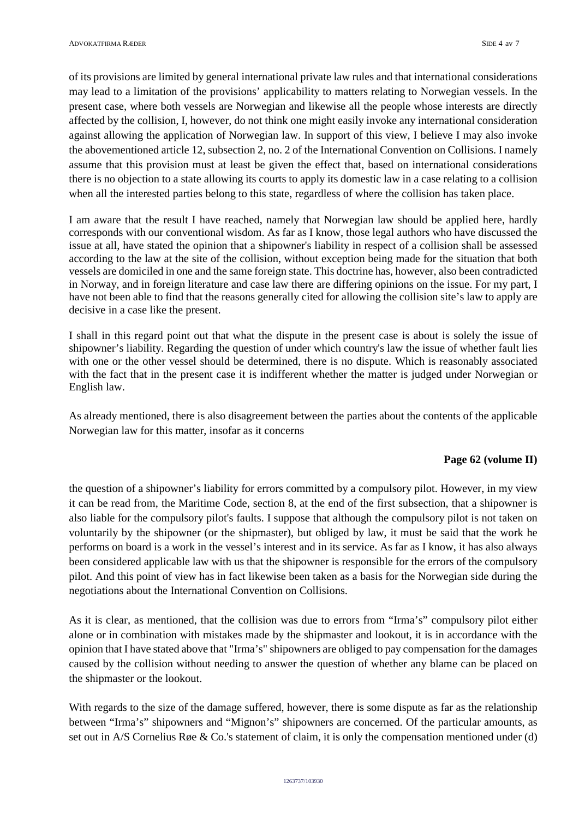of its provisions are limited by general international private law rules and that international considerations may lead to a limitation of the provisions' applicability to matters relating to Norwegian vessels. In the present case, where both vessels are Norwegian and likewise all the people whose interests are directly affected by the collision, I, however, do not think one might easily invoke any international consideration against allowing the application of Norwegian law. In support of this view, I believe I may also invoke the abovementioned article 12, subsection 2, no. 2 of the International Convention on Collisions. I namely assume that this provision must at least be given the effect that, based on international considerations there is no objection to a state allowing its courts to apply its domestic law in a case relating to a collision when all the interested parties belong to this state, regardless of where the collision has taken place.

I am aware that the result I have reached, namely that Norwegian law should be applied here, hardly corresponds with our conventional wisdom. As far as I know, those legal authors who have discussed the issue at all, have stated the opinion that a shipowner's liability in respect of a collision shall be assessed according to the law at the site of the collision, without exception being made for the situation that both vessels are domiciled in one and the same foreign state. This doctrine has, however, also been contradicted in Norway, and in foreign literature and case law there are differing opinions on the issue. For my part, I have not been able to find that the reasons generally cited for allowing the collision site's law to apply are decisive in a case like the present.

I shall in this regard point out that what the dispute in the present case is about is solely the issue of shipowner's liability. Regarding the question of under which country's law the issue of whether fault lies with one or the other vessel should be determined, there is no dispute. Which is reasonably associated with the fact that in the present case it is indifferent whether the matter is judged under Norwegian or English law.

As already mentioned, there is also disagreement between the parties about the contents of the applicable Norwegian law for this matter, insofar as it concerns

#### **Page 62 (volume II)**

the question of a shipowner's liability for errors committed by a compulsory pilot. However, in my view it can be read from, the Maritime Code, section 8, at the end of the first subsection, that a shipowner is also liable for the compulsory pilot's faults. I suppose that although the compulsory pilot is not taken on voluntarily by the shipowner (or the shipmaster), but obliged by law, it must be said that the work he performs on board is a work in the vessel's interest and in its service. As far as I know, it has also always been considered applicable law with us that the shipowner is responsible for the errors of the compulsory pilot. And this point of view has in fact likewise been taken as a basis for the Norwegian side during the negotiations about the International Convention on Collisions.

As it is clear, as mentioned, that the collision was due to errors from "Irma's" compulsory pilot either alone or in combination with mistakes made by the shipmaster and lookout, it is in accordance with the opinion that I have stated above that "Irma's" shipowners are obliged to pay compensation for the damages caused by the collision without needing to answer the question of whether any blame can be placed on the shipmaster or the lookout.

With regards to the size of the damage suffered, however, there is some dispute as far as the relationship between "Irma's" shipowners and "Mignon's" shipowners are concerned. Of the particular amounts, as set out in A/S Cornelius Røe & Co.'s statement of claim, it is only the compensation mentioned under (d)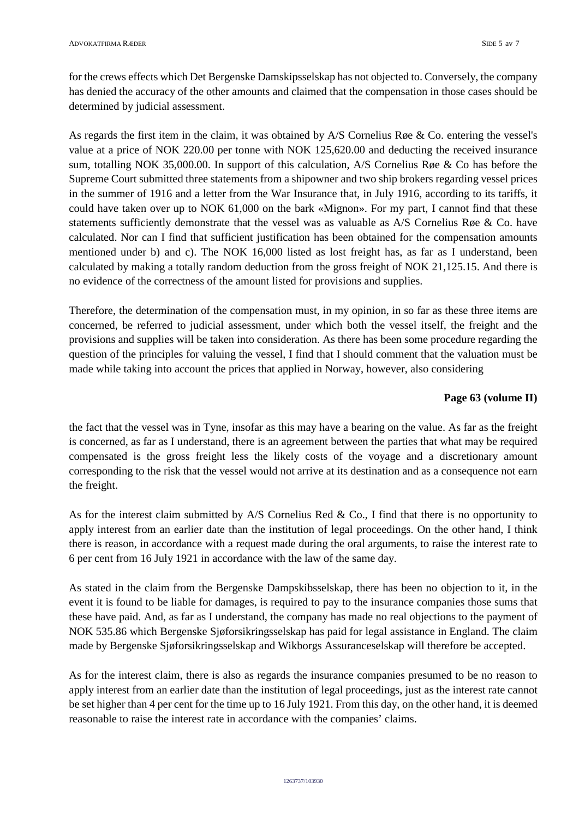for the crews effects which Det Bergenske Damskipsselskap has not objected to. Conversely, the company has denied the accuracy of the other amounts and claimed that the compensation in those cases should be determined by judicial assessment.

As regards the first item in the claim, it was obtained by A/S Cornelius Røe & Co. entering the vessel's value at a price of NOK 220.00 per tonne with NOK 125,620.00 and deducting the received insurance sum, totalling NOK 35,000.00. In support of this calculation, A/S Cornelius Røe & Co has before the Supreme Court submitted three statements from a shipowner and two ship brokers regarding vessel prices in the summer of 1916 and a letter from the War Insurance that, in July 1916, according to its tariffs, it could have taken over up to NOK 61,000 on the bark «Mignon». For my part, I cannot find that these statements sufficiently demonstrate that the vessel was as valuable as A/S Cornelius Røe & Co. have calculated. Nor can I find that sufficient justification has been obtained for the compensation amounts mentioned under b) and c). The NOK 16,000 listed as lost freight has, as far as I understand, been calculated by making a totally random deduction from the gross freight of NOK 21,125.15. And there is no evidence of the correctness of the amount listed for provisions and supplies.

Therefore, the determination of the compensation must, in my opinion, in so far as these three items are concerned, be referred to judicial assessment, under which both the vessel itself, the freight and the provisions and supplies will be taken into consideration. As there has been some procedure regarding the question of the principles for valuing the vessel, I find that I should comment that the valuation must be made while taking into account the prices that applied in Norway, however, also considering

# **Page 63 (volume II)**

the fact that the vessel was in Tyne, insofar as this may have a bearing on the value. As far as the freight is concerned, as far as I understand, there is an agreement between the parties that what may be required compensated is the gross freight less the likely costs of the voyage and a discretionary amount corresponding to the risk that the vessel would not arrive at its destination and as a consequence not earn the freight.

As for the interest claim submitted by A/S Cornelius Red & Co., I find that there is no opportunity to apply interest from an earlier date than the institution of legal proceedings. On the other hand, I think there is reason, in accordance with a request made during the oral arguments, to raise the interest rate to 6 per cent from 16 July 1921 in accordance with the law of the same day.

As stated in the claim from the Bergenske Dampskibsselskap, there has been no objection to it, in the event it is found to be liable for damages, is required to pay to the insurance companies those sums that these have paid. And, as far as I understand, the company has made no real objections to the payment of NOK 535.86 which Bergenske Sjøforsikringsselskap has paid for legal assistance in England. The claim made by Bergenske Sjøforsikringsselskap and Wikborgs Assuranceselskap will therefore be accepted.

As for the interest claim, there is also as regards the insurance companies presumed to be no reason to apply interest from an earlier date than the institution of legal proceedings, just as the interest rate cannot be set higher than 4 per cent for the time up to 16 July 1921. From this day, on the other hand, it is deemed reasonable to raise the interest rate in accordance with the companies' claims.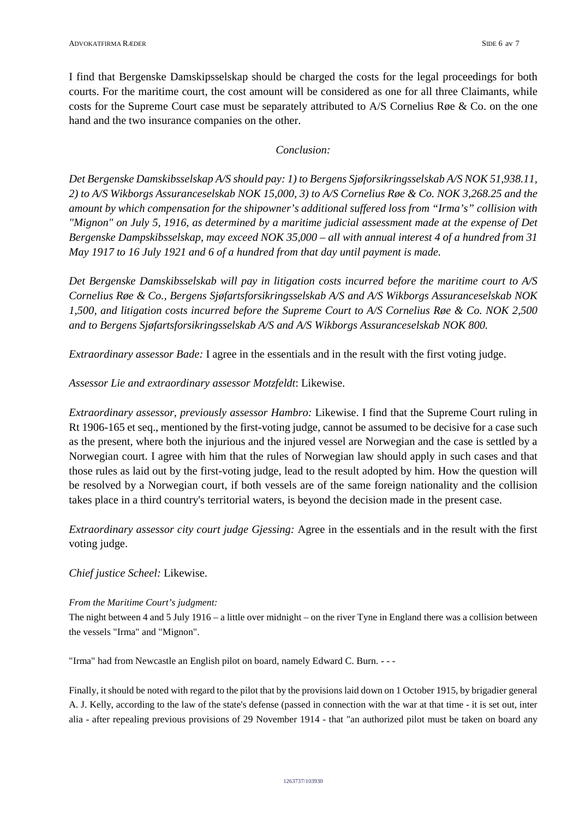I find that Bergenske Damskipsselskap should be charged the costs for the legal proceedings for both courts. For the maritime court, the cost amount will be considered as one for all three Claimants, while costs for the Supreme Court case must be separately attributed to A/S Cornelius Røe & Co. on the one hand and the two insurance companies on the other.

# *Conclusion:*

*Det Bergenske Damskibsselskap A/S should pay: 1) to Bergens Sjøforsikringsselskab A/S NOK 51,938.11, 2) to A/S Wikborgs Assuranceselskab NOK 15,000, 3) to A/S Cornelius Røe & Co. NOK 3,268.25 and the amount by which compensation for the shipowner's additional suffered loss from "Irma's" collision with "Mignon" on July 5, 1916, as determined by a maritime judicial assessment made at the expense of Det Bergenske Dampskibsselskap, may exceed NOK 35,000 – all with annual interest 4 of a hundred from 31 May 1917 to 16 July 1921 and 6 of a hundred from that day until payment is made.* 

*Det Bergenske Damskibsselskab will pay in litigation costs incurred before the maritime court to A/S Cornelius Røe & Co., Bergens Sjøfartsforsikringsselskab A/S and A/S Wikborgs Assuranceselskab NOK 1,500, and litigation costs incurred before the Supreme Court to A/S Cornelius Røe & Co. NOK 2,500 and to Bergens Sjøfartsforsikringsselskab A/S and A/S Wikborgs Assuranceselskab NOK 800.* 

*Extraordinary assessor Bade:* I agree in the essentials and in the result with the first voting judge.

*Assessor Lie and extraordinary assessor Motzfeldt*: Likewise.

*Extraordinary assessor, previously assessor Hambro:* Likewise. I find that the Supreme Court ruling in Rt 1906-165 et seq., mentioned by the first-voting judge, cannot be assumed to be decisive for a case such as the present, where both the injurious and the injured vessel are Norwegian and the case is settled by a Norwegian court. I agree with him that the rules of Norwegian law should apply in such cases and that those rules as laid out by the first-voting judge, lead to the result adopted by him. How the question will be resolved by a Norwegian court, if both vessels are of the same foreign nationality and the collision takes place in a third country's territorial waters, is beyond the decision made in the present case.

*Extraordinary assessor city court judge Gjessing:* Agree in the essentials and in the result with the first voting judge.

*Chief justice Scheel:* Likewise.

# *From the Maritime Court's judgment:*

The night between 4 and 5 July 1916 – a little over midnight – on the river Tyne in England there was a collision between the vessels "Irma" and "Mignon".

"Irma" had from Newcastle an English pilot on board, namely Edward C. Burn. - - -

Finally, it should be noted with regard to the pilot that by the provisions laid down on 1 October 1915, by brigadier general A. J. Kelly, according to the law of the state's defense (passed in connection with the war at that time - it is set out, inter alia - after repealing previous provisions of 29 November 1914 - that "an authorized pilot must be taken on board any